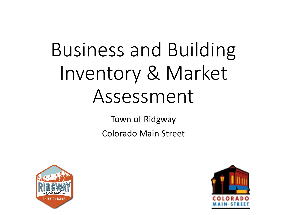# Business and Building Inventory & Market Assessment

Town of Ridgway Colorado Main Street



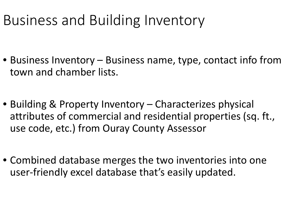### Business and Building Inventory

- Business Inventory Business name, type, contact info from town and chamber lists.
- Building & Property Inventory Characterizes physical attributes of commercial and residential properties (sq. ft., use code, etc.) from Ouray County Assessor
- Combined database merges the two inventories into one user-friendly excel database that's easily updated.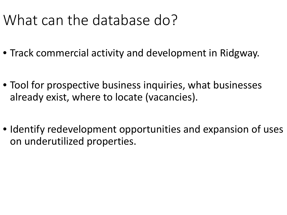### What can the database do?

- Track commercial activity and development in Ridgway.
- Tool for prospective business inquiries, what businesses already exist, where to locate (vacancies).
- Identify redevelopment opportunities and expansion of uses on underutilized properties.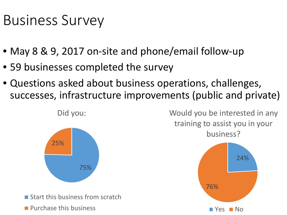### Business Survey

- May 8 & 9, 2017 on-site and phone/email follow-up
- 59 businesses completed the survey
- Questions asked about business operations, challenges, successes, infrastructure improvements (public and private)



Would you be interested in any training to assist you in your business?

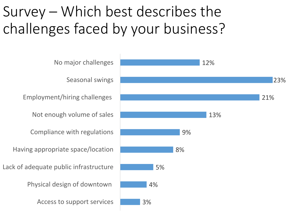### Survey – Which best describes the challenges faced by your business?

3% 4% 5% 8% 9% 13% 21% 23% 12% Access to support services Physical design of downtown Lack of adequate public infrastructure Having appropriate space/location Compliance with regulations Not enough volume of sales Employment/hiring challenges Seasonal swings No major challenges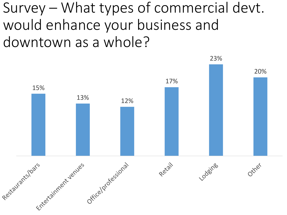Survey – What types of commercial devt. would enhance your business and downtown as a whole?

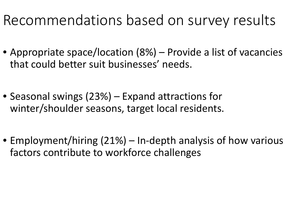### Recommendations based on survey results

- Appropriate space/location (8%) Provide a list of vacancies that could better suit businesses' needs.
- Seasonal swings (23%) Expand attractions for winter/shoulder seasons, target local residents.
- Employment/hiring (21%) In-depth analysis of how various factors contribute to workforce challenges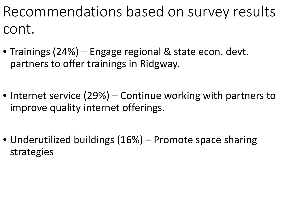Recommendations based on survey results cont.

- Trainings (24%) Engage regional & state econ. devt. partners to offer trainings in Ridgway.
- Internet service (29%) Continue working with partners to improve quality internet offerings.
- Underutilized buildings (16%) Promote space sharing strategies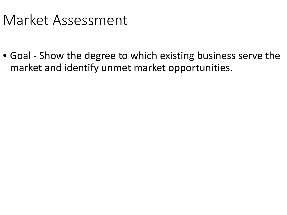### Market Assessment

• Goal - Show the degree to which existing business serve the market and identify unmet market opportunities.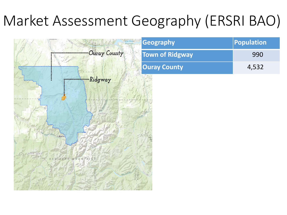### Market Assessment Geography (ERSRI BAO)



| <b>Geography</b> | <b>Population</b> |
|------------------|-------------------|
| Town of Ridgway  | 990               |
| Ouray County     | 4,532             |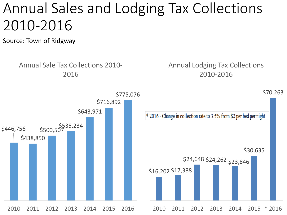### Annual Sales and Lodging Tax Collections 2010-2016

Source: Town of Ridgway

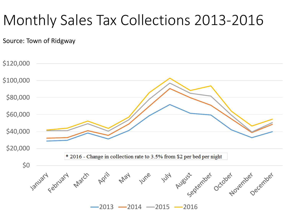### Monthly Sales Tax Collections 2013-2016

Source: Town of Ridgway

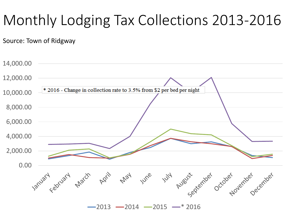### Monthly Lodging Tax Collections 2013-2016

Source: Town of Ridgway



 $-2013 - 2014 - 2015 - * 2016$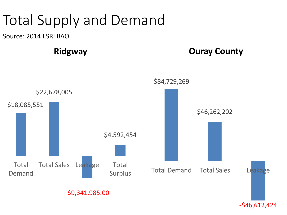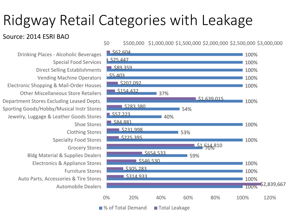### Ridgway Retail Categories with Leakage

#### Source: 2014 ESRI BAO

Automobile Dealers Auto Parts, Accessories & Tire Stores Furniture Stores Electronics & Appliance Stores Bldg Material & Supplies Dealers Grocery Stores Specialty Food Stores Clothing Stores Shoe Stores Jewelry, Luggage & Leather Goods Stores Sporting Goods/Hobby/Musical Instr Stores Department Stores Excluding Leased Depts. Other Miscellaneous Store Retailers Electronic Shopping & Mail-Order Houses Vending Machine Operators Direct Selling Establishments Special Food Services Drinking Places - Alcoholic Beverages

\$0 \$500,000 \$1,000,000 \$1,500,000 \$2,000,000 \$2,500,000 \$3,000,000

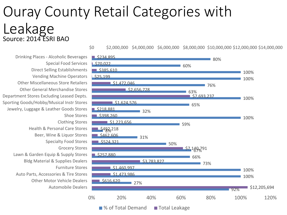### Ouray County Retail Categories with Leakage Source: 2014 ESRI BAO

Automobile Dealers Other Motor Vehicle Dealers Auto Parts, Accessories & Tire Stores Furniture Stores Bldg Material & Supplies Dealers Lawn & Garden Equip & Supply Stores Grocery Stores Specialty Food Stores Beer, Wine & Liquor Stores Health & Personal Care Stores Clothing Stores Shoe Stores Jewelry, Luggage & Leather Goods Stores Sporting Goods/Hobby/Musical Instr Stores Department Stores Excluding Leased Depts. Other General Merchandise Stores Other Miscellaneous Store Retailers Vending Machine Operators Direct Selling Establishments Special Food Services Drinking Places - Alcoholic Beverages



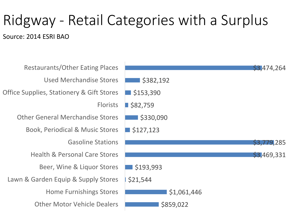## Ridgway - Retail Categories with a Surplus

Source: 2014 ESRI BAO

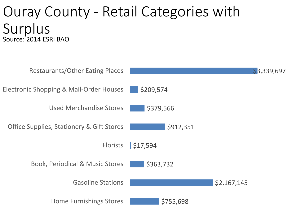#### Ouray County - Retail Categories with Surplus Source: 2014 ESRI BAO

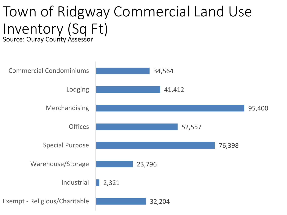#### Town of Ridgway Commercial Land Use Inventory (Sq Ft) Source: Ouray County Assessor

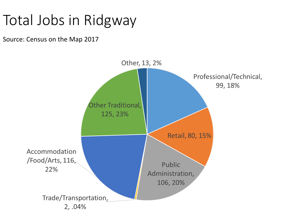### Total Jobs in Ridgway

Source: Census on the Map 2017

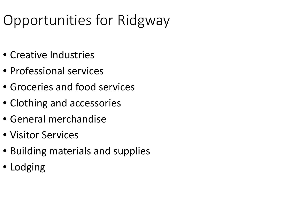### Opportunities for Ridgway

- Creative Industries
- Professional services
- Groceries and food services
- Clothing and accessories
- General merchandise
- Visitor Services
- Building materials and supplies
- Lodging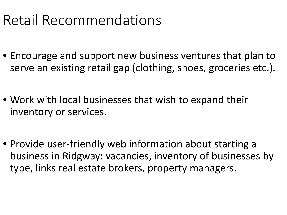### Retail Recommendations

- Encourage and support new business ventures that plan to serve an existing retail gap (clothing, shoes, groceries etc.).
- Work with local businesses that wish to expand their inventory or services.
- Provide user-friendly web information about starting a business in Ridgway: vacancies, inventory of businesses by type, links real estate brokers, property managers.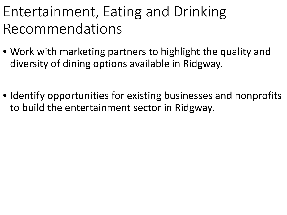### Entertainment, Eating and Drinking Recommendations

- Work with marketing partners to highlight the quality and diversity of dining options available in Ridgway.
- Identify opportunities for existing businesses and nonprofits to build the entertainment sector in Ridgway.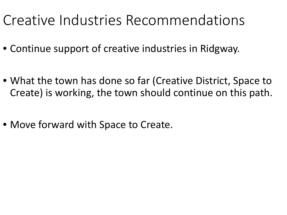### Creative Industries Recommendations

- Continue support of creative industries in Ridgway.
- What the town has done so far (Creative District, Space to Create) is working, the town should continue on this path.
- Move forward with Space to Create.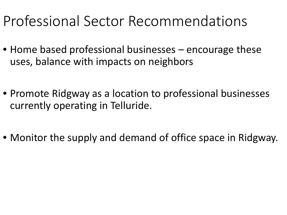### Professional Sector Recommendations

- Home based professional businesses encourage these uses, balance with impacts on neighbors
- Promote Ridgway as a location to professional businesses currently operating in Telluride.
- Monitor the supply and demand of office space in Ridgway.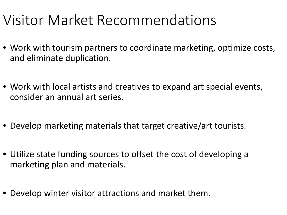### Visitor Market Recommendations

- Work with tourism partners to coordinate marketing, optimize costs, and eliminate duplication.
- Work with local artists and creatives to expand art special events, consider an annual art series.
- Develop marketing materials that target creative/art tourists.
- Utilize state funding sources to offset the cost of developing a marketing plan and materials.
- Develop winter visitor attractions and market them.